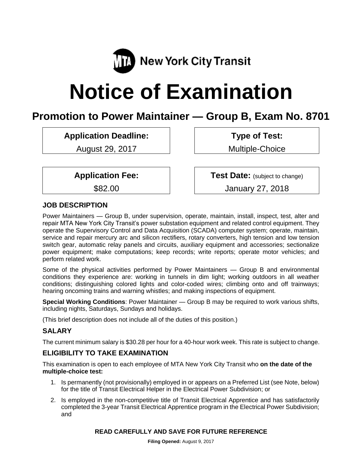

# **Notice of Examination**

# **Promotion to Power Maintainer — Group B, Exam No. 8701**

**Application Deadline:**

August 29, 2017

**Type of Test:** 

Multiple-Choice

**Application Fee:**

\$82.00

**Test Date:** (subject to change)

January 27, 2018

# **JOB DESCRIPTION**

Power Maintainers — Group B, under supervision, operate, maintain, install, inspect, test, alter and repair MTA New York City Transit's power substation equipment and related control equipment. They operate the Supervisory Control and Data Acquisition (SCADA) computer system; operate, maintain, service and repair mercury arc and silicon rectifiers, rotary converters, high tension and low tension switch gear, automatic relay panels and circuits, auxiliary equipment and accessories; sectionalize power equipment; make computations; keep records; write reports; operate motor vehicles; and perform related work.

Some of the physical activities performed by Power Maintainers — Group B and environmental conditions they experience are: working in tunnels in dim light; working outdoors in all weather conditions; distinguishing colored lights and color-coded wires; climbing onto and off trainways; hearing oncoming trains and warning whistles; and making inspections of equipment.

**Special Working Conditions**: Power Maintainer — Group B may be required to work various shifts, including nights, Saturdays, Sundays and holidays.

(This brief description does not include all of the duties of this position.)

# **SALARY**

The current minimum salary is \$30.28 per hour for a 40-hour work week. This rate is subject to change.

# **ELIGIBILITY TO TAKE EXAMINATION**

This examination is open to each employee of MTA New York City Transit who **on the date of the multiple-choice test:**

- 1. Is permanently (not provisionally) employed in or appears on a Preferred List (see Note, below) for the title of Transit Electrical Helper in the Electrical Power Subdivision; or
- 2. Is employed in the non-competitive title of Transit Electrical Apprentice and has satisfactorily completed the 3-year Transit Electrical Apprentice program in the Electrical Power Subdivision; and

#### **READ CAREFULLY AND SAVE FOR FUTURE REFERENCE**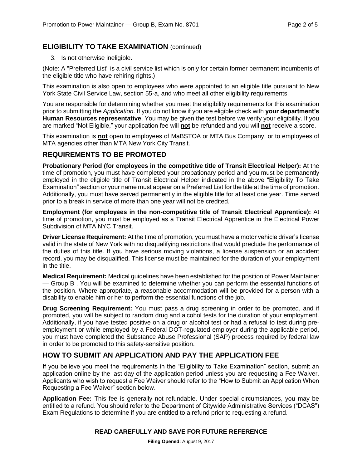#### **ELIGIBILITY TO TAKE EXAMINATION** (continued)

3. Is not otherwise ineligible.

(Note: A "Preferred List" is a civil service list which is only for certain former permanent incumbents of the eligible title who have rehiring rights.)

This examination is also open to employees who were appointed to an eligible title pursuant to New York State Civil Service Law, section 55-a, and who meet all other eligibility requirements.

You are responsible for determining whether you meet the eligibility requirements for this examination prior to submitting the *Application*. If you do not know if you are eligible check with **your department's Human Resources representative**. You may be given the test before we verify your eligibility. If you are marked "Not Eligible," your application fee will **not** be refunded and you will **not** receive a score.

This examination is **not** open to employees of MaBSTOA or MTA Bus Company, or to employees of MTA agencies other than MTA New York City Transit.

#### **REQUIREMENTS TO BE PROMOTED**

**Probationary Period (for employees in the competitive title of Transit Electrical Helper):** At the time of promotion, you must have completed your probationary period and you must be permanently employed in the eligible title of Transit Electrical Helper indicated in the above "Eligibility To Take Examination" section or your name must appear on a Preferred List for the title at the time of promotion. Additionally, you must have served permanently in the eligible title for at least one year. Time served prior to a break in service of more than one year will not be credited.

**Employment (for employees in the non-competitive title of Transit Electrical Apprentice):** At time of promotion, you must be employed as a Transit Electrical Apprentice in the Electrical Power Subdivision of MTA NYC Transit.

**Driver License Requirement:** At the time of promotion, you must have a motor vehicle driver's license valid in the state of New York with no disqualifying restrictions that would preclude the performance of the duties of this title. If you have serious moving violations, a license suspension or an accident record, you may be disqualified. This license must be maintained for the duration of your employment in the title.

**Medical Requirement:** Medical guidelines have been established for the position of Power Maintainer — Group B . You will be examined to determine whether you can perform the essential functions of the position. Where appropriate, a reasonable accommodation will be provided for a person with a disability to enable him or her to perform the essential functions of the job.

**Drug Screening Requirement:** You must pass a drug screening in order to be promoted, and if promoted, you will be subject to random drug and alcohol tests for the duration of your employment. Additionally, if you have tested positive on a drug or alcohol test or had a refusal to test during preemployment or while employed by a Federal DOT-regulated employer during the applicable period, you must have completed the Substance Abuse Professional (SAP) process required by federal law in order to be promoted to this safety-sensitive position.

# **HOW TO SUBMIT AN APPLICATION AND PAY THE APPLICATION FEE**

If you believe you meet the requirements in the "Eligibility to Take Examination" section, submit an application online by the last day of the application period unless you are requesting a Fee Waiver. Applicants who wish to request a Fee Waiver should refer to the "How to Submit an Application When Requesting a Fee Waiver" section below.

**Application Fee:** This fee is generally not refundable. Under special circumstances, you may be entitled to a refund. You should refer to the Department of Citywide Administrative Services ("DCAS") Exam Regulations to determine if you are entitled to a refund prior to requesting a refund.

#### **READ CAREFULLY AND SAVE FOR FUTURE REFERENCE**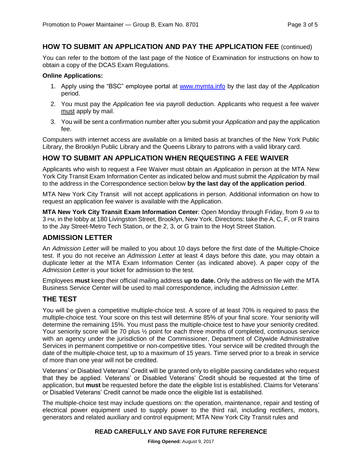#### **HOW TO SUBMIT AN APPLICATION AND PAY THE APPLICATION FEE** (continued)

You can refer to the bottom of the last page of the Notice of Examination for instructions on how to obtain a copy of the DCAS Exam Regulations.

#### **Online Applications:**

- 1. Apply using the "BSC" employee portal at [www.mymta.info](http://www.mymta.info/) by the last day of the *Application*  period.
- 2. You must pay the *Application* fee via payroll deduction. Applicants who request a fee waiver must apply by mail.
- 3. You will be sent a confirmation number after you submit your *Application* and pay the application fee.

Computers with internet access are available on a limited basis at branches of the New York Public Library, the Brooklyn Public Library and the Queens Library to patrons with a valid library card.

# **HOW TO SUBMIT AN APPLICATION WHEN REQUESTING A FEE WAIVER**

Applicants who wish to request a Fee Waiver must obtain an *Application* in person at the MTA New York City Transit Exam Information Center as indicated below and must submit the *Application* by mail to the address in the Correspondence section below **by the last day of the application period**.

MTA New York City Transit will not accept applications in person. Additional information on how to request an application fee waiver is available with the Application.

**MTA New York City Transit Exam Information Center**: Open Monday through Friday, from 9 AM to 3 PM, in the lobby at 180 Livingston Street, Brooklyn, New York. Directions: take the A, C, F, or R trains to the Jay Street-Metro Tech Station, or the 2, 3, or G train to the Hoyt Street Station.

#### **ADMISSION LETTER**

An *Admission Letter* will be mailed to you about 10 days before the first date of the Multiple-Choice test. If you do not receive an *Admission Letter* at least 4 days before this date, you may obtain a duplicate letter at the MTA Exam Information Center (as indicated above). A paper copy of the *Admission Letter* is your ticket for admission to the test.

Employees **must** keep their official mailing address **up to date.** Only the address on file with the MTA Business Service Center will be used to mail correspondence, including the *Admission Letter.*

#### **THE TEST**

You will be given a competitive multiple-choice test. A score of at least 70% is required to pass the multiple-choice test. Your score on this test will determine 85% of your final score. Your seniority will determine the remaining 15%. You must pass the multiple-choice test to have your seniority credited. Your seniority score will be 70 plus 1/2 point for each three months of completed, continuous service with an agency under the jurisdiction of the Commissioner, Department of Citywide Administrative Services in permanent competitive or non-competitive titles. Your service will be credited through the date of the multiple-choice test, up to a maximum of 15 years. Time served prior to a break in service of more than one year will not be credited.

Veterans' or Disabled Veterans' Credit will be granted only to eligible passing candidates who request that they be applied. Veterans' or Disabled Veterans' Credit should be requested at the time of application, but **must** be requested before the date the eligible list is established. Claims for Veterans' or Disabled Veterans' Credit cannot be made once the eligible list is established.

The multiple-choice test may include questions on: the operation, maintenance, repair and testing of electrical power equipment used to supply power to the third rail, including rectifiers, motors, generators and related auxiliary and control equipment; MTA New York City Transit rules and

#### **READ CAREFULLY AND SAVE FOR FUTURE REFERENCE**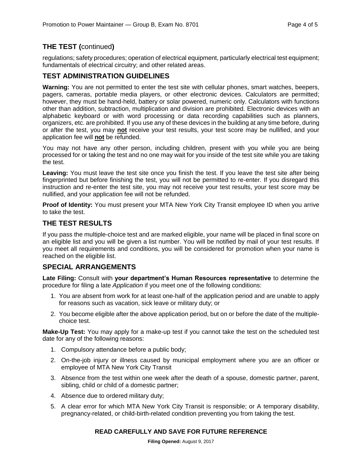# **THE TEST (**continued**)**

regulations; safety procedures; operation of electrical equipment, particularly electrical test equipment; fundamentals of electrical circuitry; and other related areas.

# **TEST ADMINISTRATION GUIDELINES**

**Warning:** You are not permitted to enter the test site with cellular phones, smart watches, beepers, pagers, cameras, portable media players, or other electronic devices. Calculators are permitted; however, they must be hand-held, battery or solar powered, numeric only. Calculators with functions other than addition, subtraction, multiplication and division are prohibited. Electronic devices with an alphabetic keyboard or with word processing or data recording capabilities such as planners, organizers, etc. are prohibited. If you use any of these devices in the building at any time before, during or after the test, you may **not** receive your test results, your test score may be nullified, and your application fee will **not** be refunded.

You may not have any other person, including children, present with you while you are being processed for or taking the test and no one may wait for you inside of the test site while you are taking the test.

**Leaving:** You must leave the test site once you finish the test. If you leave the test site after being fingerprinted but before finishing the test, you will not be permitted to re-enter. If you disregard this instruction and re-enter the test site, you may not receive your test results, your test score may be nullified, and your application fee will not be refunded.

**Proof of Identity:** You must present your MTA New York City Transit employee ID when you arrive to take the test.

# **THE TEST RESULTS**

If you pass the multiple-choice test and are marked eligible, your name will be placed in final score on an eligible list and you will be given a list number. You will be notified by mail of your test results. If you meet all requirements and conditions, you will be considered for promotion when your name is reached on the eligible list.

# **SPECIAL ARRANGEMENTS**

**Late Filing:** Consult with **your department's Human Resources representative** to determine the procedure for filing a late *Application* if you meet one of the following conditions:

- 1. You are absent from work for at least one-half of the application period and are unable to apply for reasons such as vacation, sick leave or military duty; or
- 2. You become eligible after the above application period, but on or before the date of the multiplechoice test.

**Make-Up Test:** You may apply for a make-up test if you cannot take the test on the scheduled test date for any of the following reasons:

- 1. Compulsory attendance before a public body;
- 2. On-the-job injury or illness caused by municipal employment where you are an officer or employee of MTA New York City Transit
- 3. Absence from the test within one week after the death of a spouse, domestic partner, parent, sibling, child or child of a domestic partner;
- 4. Absence due to ordered military duty;
- 5. A clear error for which MTA New York City Transit is responsible; or A temporary disability, pregnancy-related, or child-birth-related condition preventing you from taking the test.

#### **READ CAREFULLY AND SAVE FOR FUTURE REFERENCE**